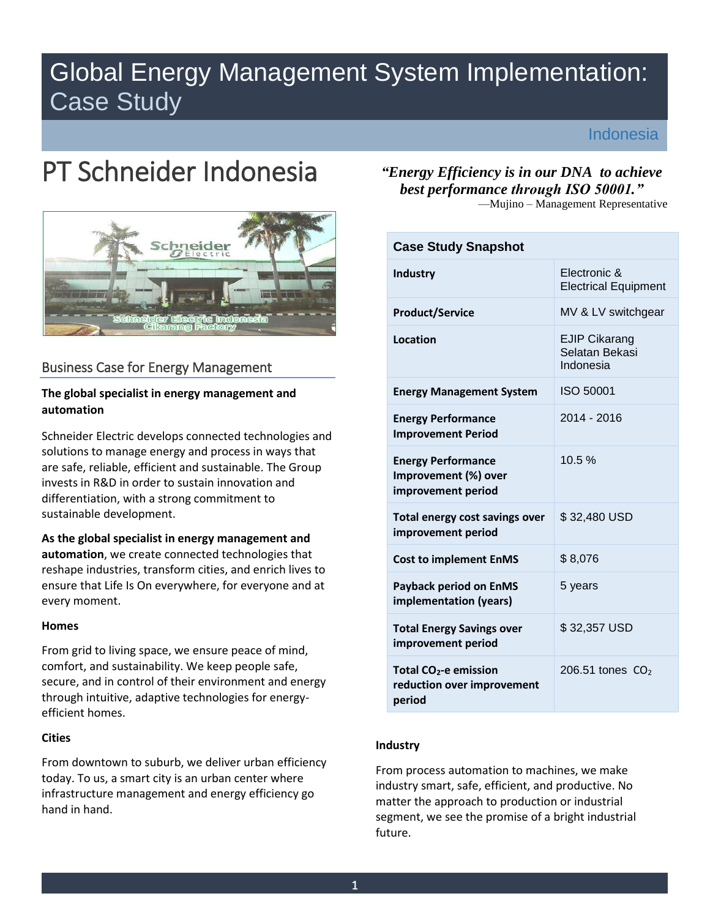# Global Energy Management System Implementation: Case Study

Indonesia

# PT Schneider Indonesia



# Business Case for Energy Management

# **The global specialist in energy management and automation**

Schneider Electric develops connected technologies and solutions to manage energy and process in ways that are safe, reliable, efficient and sustainable. The Group invests in R&D in order to sustain innovation and differentiation, with a strong commitment to sustainable development.

**As the global specialist in energy management and automation**, we create connected technologies that reshape industries, transform cities, and enrich lives to ensure that Life Is On everywhere, for everyone and at every moment.

#### **Homes**

From grid to living space, we ensure peace of mind, comfort, and sustainability. We keep people safe, secure, and in control of their environment and energy through intuitive, adaptive technologies for energyefficient homes.

#### **Cities**

From downtown to suburb, we deliver urban efficiency today. To us, a smart city is an urban center where infrastructure management and energy efficiency go hand in hand.

*"Energy Efficiency is in our DNA to achieve best performance through ISO 50001."*

—Mujino – Management Representative

| <b>Case Study Snapshot</b>                                                |                                                     |
|---------------------------------------------------------------------------|-----------------------------------------------------|
| Industry                                                                  | Electronic &<br><b>Electrical Equipment</b>         |
| <b>Product/Service</b>                                                    | MV & LV switchgear                                  |
| Location                                                                  | <b>EJIP Cikarang</b><br>Selatan Bekasi<br>Indonesia |
| <b>Energy Management System</b>                                           | ISO 50001                                           |
| <b>Energy Performance</b><br><b>Improvement Period</b>                    | 2014 - 2016                                         |
| <b>Energy Performance</b><br>Improvement (%) over<br>improvement period   | 10.5%                                               |
| Total energy cost savings over<br>improvement period                      | \$32,480 USD                                        |
| <b>Cost to implement EnMS</b>                                             | \$8,076                                             |
| <b>Payback period on EnMS</b><br>implementation (years)                   | 5 years                                             |
| <b>Total Energy Savings over</b><br>improvement period                    | \$32,357 USD                                        |
| Total CO <sub>2</sub> -e emission<br>reduction over improvement<br>period | 206.51 tones $CO2$                                  |

#### **Industry**

From process automation to machines, we make industry smart, safe, efficient, and productive. No matter the approach to production or industrial segment, we see the promise of a bright industrial future.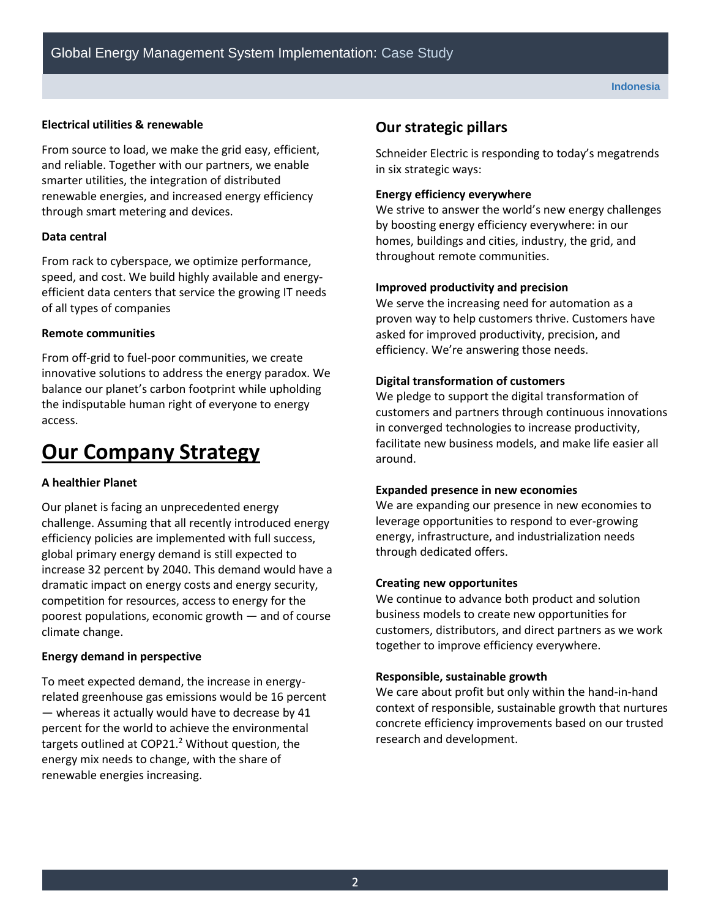#### **Electrical utilities & renewable**

From source to load, we make the grid easy, efficient, and reliable. Together with our partners, we enable smarter utilities, the integration of distributed renewable energies, and increased energy efficiency through smart metering and devices.

#### **Data central**

From rack to cyberspace, we optimize performance, speed, and cost. We build highly available and energyefficient data centers that service the growing IT needs of all types of companies

#### **Remote communities**

From off-grid to fuel-poor communities, we create innovative solutions to address the energy paradox. We balance our planet's carbon footprint while upholding the indisputable human right of everyone to energy access.

# **Our Company Strategy**

#### **A healthier Planet**

Our planet is facing an unprecedented energy challenge. Assuming that all recently introduced energy efficiency policies are implemented with full success, global primary energy demand is still expected to increase 32 percent by 2040. This demand would have a dramatic impact on energy costs and energy security, competition for resources, access to energy for the poorest populations, economic growth — and of course climate change.

#### **Energy demand in perspective**

To meet expected demand, the increase in energyrelated greenhouse gas emissions would be 16 percent — whereas it actually would have to decrease by 41 percent for the world to achieve the environmental targets outlined at  $COP21.<sup>2</sup>$  Without question, the energy mix needs to change, with the share of renewable energies increasing.

# **Our strategic pillars**

Schneider Electric is responding to today's megatrends in six strategic ways:

#### **Energy efficiency everywhere**

We strive to answer the world's new energy challenges by boosting energy efficiency everywhere: in our homes, buildings and cities, industry, the grid, and throughout remote communities.

#### **Improved productivity and precision**

We serve the increasing need for automation as a proven way to help customers thrive. Customers have asked for improved productivity, precision, and efficiency. We're answering those needs.

#### **Digital transformation of customers**

We pledge to support the digital transformation of customers and partners through continuous innovations in converged technologies to increase productivity, facilitate new business models, and make life easier all around.

#### **Expanded presence in new economies**

We are expanding our presence in new economies to leverage opportunities to respond to ever-growing energy, infrastructure, and industrialization needs through dedicated offers.

#### **Creating new opportunites**

We continue to advance both product and solution business models to create new opportunities for customers, distributors, and direct partners as we work together to improve efficiency everywhere.

#### **Responsible, sustainable growth**

We care about profit but only within the hand-in-hand context of responsible, sustainable growth that nurtures concrete efficiency improvements based on our trusted research and development.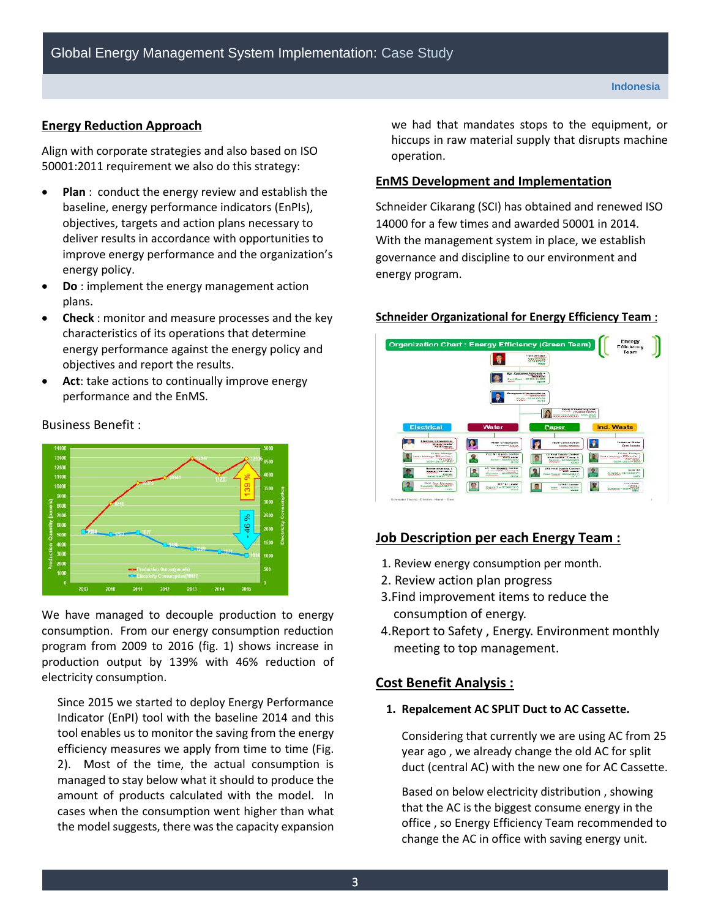#### **Energy Reduction Approach**

Business Benefit :

Align with corporate strategies and also based on ISO 50001:2011 requirement we also do this strategy:

- **Plan** : conduct the energy review and establish the baseline, energy performance indicators (EnPIs), objectives, targets and action plans necessary to deliver results in accordance with opportunities to improve energy performance and the organization's energy policy.
- **Do** : implement the energy management action plans.
- **Check** : monitor and measure processes and the key characteristics of its operations that determine energy performance against the energy policy and objectives and report the results.
- **Act**: take actions to continually improve energy performance and the EnMS.



We have managed to decouple production to energy consumption. From our energy consumption reduction program from 2009 to 2016 (fig. 1) shows increase in production output by 139% with 46% reduction of electricity consumption.

Since 2015 we started to deploy Energy Performance Indicator (EnPI) tool with the baseline 2014 and this tool enables us to monitor the saving from the energy efficiency measures we apply from time to time (Fig. 2). Most of the time, the actual consumption is managed to stay below what it should to produce the amount of products calculated with the model. In cases when the consumption went higher than what the model suggests, there was the capacity expansion we had that mandates stops to the equipment, or hiccups in raw material supply that disrupts machine operation.

#### **EnMS Development and Implementation**

Schneider Cikarang (SCI) has obtained and renewed ISO 14000 for a few times and awarded 50001 in 2014. With the management system in place, we establish governance and discipline to our environment and energy program.

# **Organization Chart: Energy Efficier P** SSAT Leader<br>SSAT Leader<br>- DECAMONE D State Central<br>State History<br>SCRO itana ny haarampool<br>1940 : Taraaga m  $\mathbf{\Omega}$  $\mathbb{R}$ **All Changes**

#### **Schneider Organizational for Energy Efficiency Team** :

# **Job Description per each Energy Team :**

- 1. Review energy consumption per month.
- 2. Review action plan progress
- 3.Find improvement items to reduce the consumption of energy.
- 4.Report to Safety , Energy. Environment monthly meeting to top management.

# **Cost Benefit Analysis :**

#### **1. Repalcement AC SPLIT Duct to AC Cassette.**

Considering that currently we are using AC from 25 year ago , we already change the old AC for split duct (central AC) with the new one for AC Cassette.

Based on below electricity distribution , showing that the AC is the biggest consume energy in the office , so Energy Efficiency Team recommended to change the AC in office with saving energy unit.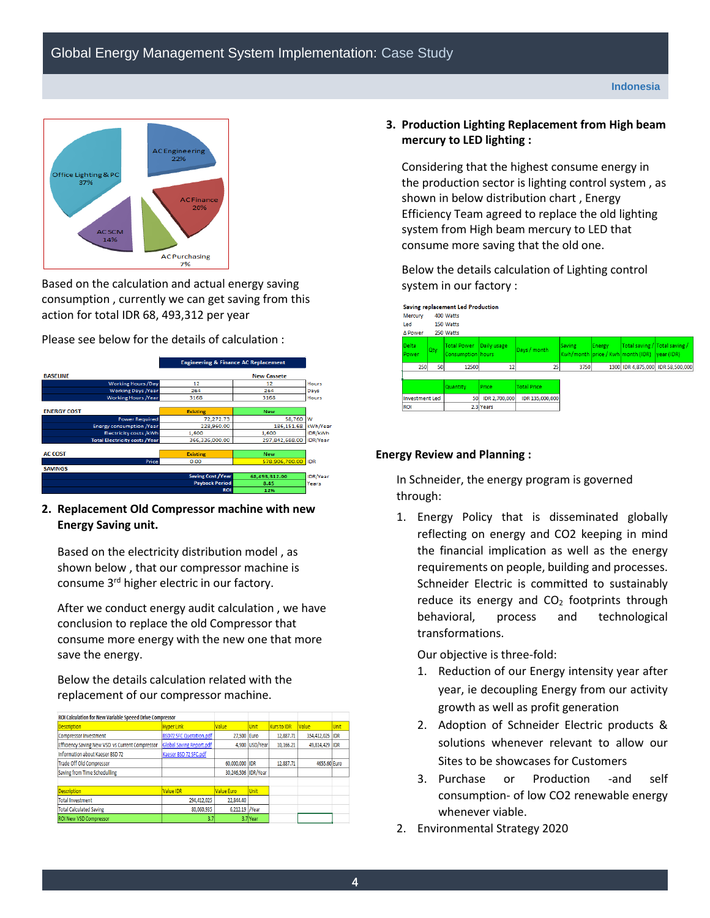

Based on the calculation and actual energy saving consumption , currently we can get saving from this action for total IDR 68, 493,312 per year

Please see below for the details of calculation :



**2. Replacement Old Compressor machine with new Energy Saving unit.**

Based on the electricity distribution model , as shown below , that our compressor machine is consume 3rd higher electric in our factory.

After we conduct energy audit calculation , we have conclusion to replace the old Compressor that consume more energy with the new one that more save the energy.

Below the details calculation related with the replacement of our compressor machine.

| ROI Calculation for New Variable Speeed Drive Compressor |                                 |                     |                |                    |              |             |
|----------------------------------------------------------|---------------------------------|---------------------|----------------|--------------------|--------------|-------------|
| <b>Description</b>                                       | <b>Hyper Link</b>               | Value               | <b>Unit</b>    | <b>Kurs to IDR</b> | Value        | Unit        |
| Compressor Investment                                    | BSD72 SFC Quotation.pdf         | 27.500 Euro         |                | 12.887.71          | 354,412,025  | <b>IIDR</b> |
| Efficiency Saving New VSD vs Current Compressor          | <b>Global Saving Report.pdf</b> |                     | 4,900 USD/Year | 10,166.21          | 49,814,429   | <b>IDR</b>  |
| Information about Kaeser BSD 72                          | Kaeser BSD 72 SFC.pdf           |                     |                |                    |              |             |
| <b>Trade Off Old Compressor</b>                          |                                 | 60,000,000 IDR      |                | 12,887.71          | 4655.60 Euro |             |
| Saving from Time Schedulling                             |                                 | 30.246.506 IDR/Year |                |                    |              |             |
|                                                          |                                 |                     |                |                    |              |             |
| <b>Description</b>                                       | Value IDR                       | <b>Value Euro</b>   | <b>Unit</b>    |                    |              |             |
| <b>Total Investment</b>                                  | 294,412,025                     | 22.844.40           |                |                    |              |             |
| <b>Total Calculated Saving</b>                           | 80,060,935                      | 6,212.19 /Year      |                |                    |              |             |
| <b>ROI New VSD Compressor</b>                            | 3.7                             |                     | 3.7 Year       |                    |              |             |
|                                                          |                                 |                     |                |                    |              |             |

**3. Production Lighting Replacement from High beam mercury to LED lighting :**

Considering that the highest consume energy in the production sector is lighting control system , as shown in below distribution chart , Energy Efficiency Team agreed to replace the old lighting system from High beam mercury to LED that consume more saving that the old one.

Below the details calculation of Lighting control system in our factory :



#### **Energy Review and Planning :**

In Schneider, the energy program is governed through:

1. Energy Policy that is disseminated globally reflecting on energy and CO2 keeping in mind the financial implication as well as the energy requirements on people, building and processes. Schneider Electric is committed to sustainably reduce its energy and  $CO<sub>2</sub>$  footprints through behavioral, process and technological transformations.

Our objective is three-fold:

- 1. Reduction of our Energy intensity year after year, ie decoupling Energy from our activity growth as well as profit generation
- 2. Adoption of Schneider Electric products & solutions whenever relevant to allow our Sites to be showcases for Customers
- 3. Purchase or Production -and self consumption- of low CO2 renewable energy whenever viable.
- 2. Environmental Strategy 2020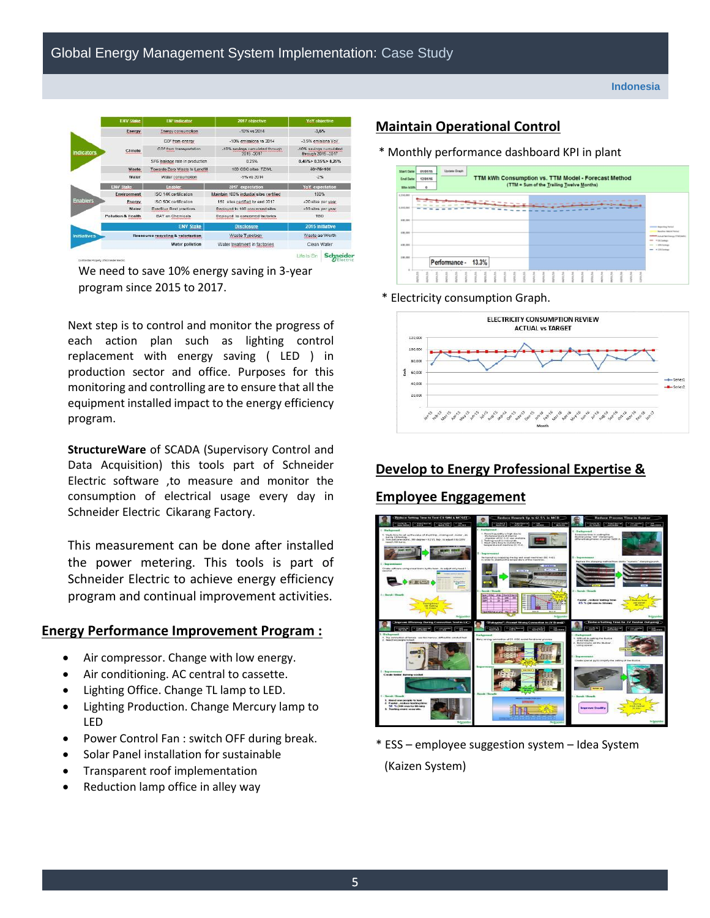

We need to save 10% energy saving in 3-year program since 2015 to 2017.

Next step is to control and monitor the progress of each action plan such as lighting control replacement with energy saving ( LED ) in production sector and office. Purposes for this monitoring and controlling are to ensure that all the equipment installed impact to the energy efficiency program.

**StructureWare** of SCADA (Supervisory Control and Data Acquisition) this tools part of Schneider Electric software ,to measure and monitor the consumption of electrical usage every day in Schneider Electric Cikarang Factory.

This measurement can be done after installed the power metering. This tools is part of Schneider Electric to achieve energy efficiency program and continual improvement activities.

# **Energy Performance Improvement Program :**

- Air compressor. Change with low energy.
- Air conditioning. AC central to cassette.
- Lighting Office. Change TL lamp to LED.
- Lighting Production. Change Mercury lamp to LED
- Power Control Fan : switch OFF during break.
- Solar Panel installation for sustainable
- Transparent roof implementation
- Reduction lamp office in alley way

# **Maintain Operational Control**

\* Monthly performance dashboard KPI in plant

| <b>Start Date</b><br><b>End Date</b><br>Min kWh                            | <b>Update Graph</b><br>01/01/15<br>TTM kWh Consumption vs. TTM Model - Forecast Method<br>12/01/16<br>(TTM = Sum of the Trailing Twelve Months)<br>$\ddot{\phantom{0}}$ |               |       |               |               |      |               |        |     |      |      |               |  |  |                                         |        |        |      |              |              |       |               |               |       |                                                                                                                             |
|----------------------------------------------------------------------------|-------------------------------------------------------------------------------------------------------------------------------------------------------------------------|---------------|-------|---------------|---------------|------|---------------|--------|-----|------|------|---------------|--|--|-----------------------------------------|--------|--------|------|--------------|--------------|-------|---------------|---------------|-------|-----------------------------------------------------------------------------------------------------------------------------|
| 1,300,000<br>1,000,000<br><b>Southern</b><br>800,000<br>600,000<br>431,000 |                                                                                                                                                                         |               |       |               |               |      |               |        |     |      |      |               |  |  | the contract can be an an excess on the |        |        |      |              |              |       |               |               |       | weeks Aspekting Period<br><b>Bookley McAdillacted</b><br>Adult let himge TTM (lath)<br>$\sim$<br>· 15 See pr<br>- 10% Seats |
| 200,000                                                                    |                                                                                                                                                                         |               |       | Performance - |               |      | 13.3%         |        |     |      |      |               |  |  |                                         |        |        |      |              |              |       |               |               |       | $ *$ 115.3 average                                                                                                          |
| ×                                                                          | ovene                                                                                                                                                                   | <b>QUICOR</b> | sonne | 44148         | $\frac{1}{2}$ | wuns | $\frac{1}{2}$ | terior | gua | sona | umns | $\frac{1}{2}$ |  |  |                                         | 491/16 | stone. | enne | <b>TOTOR</b> | <b>FOLON</b> | 90109 | $\frac{1}{2}$ | <b>LUBURE</b> | качки |                                                                                                                             |

\* Electricity consumption Graph.



# **Develop to Energy Professional Expertise &**

# **Employee Enggagement**



\* ESS – employee suggestion system – Idea System (Kaizen System)